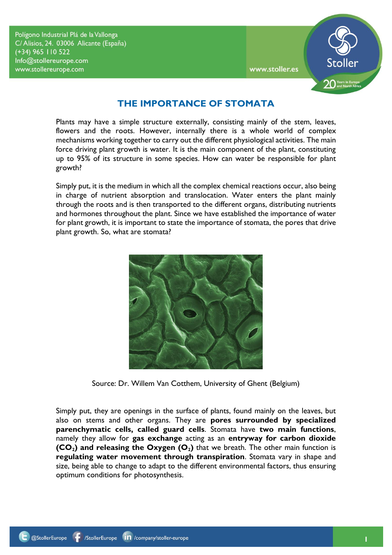Polígono Industrial Plá de la Vallonga C/Alisios, 24. 03006 Alicante (España) (+34) 965 110 522 Info@stollereurope.com www.stollereurope.com



## **THE IMPORTANCE OF STOMATA**

Plants may have a simple structure externally, consisting mainly of the stem, leaves, flowers and the roots. However, internally there is a whole world of complex mechanisms working together to carry out the different physiological activities. The main force driving plant growth is water. It is the main component of the plant, constituting up to 95% of its structure in some species. How can water be responsible for plant growth?

Simply put, it is the medium in which all the complex chemical reactions occur, also being in charge of nutrient absorption and translocation. Water enters the plant mainly through the roots and is then transported to the different organs, distributing nutrients and hormones throughout the plant. Since we have established the importance of water for plant growth, it is important to state the importance of stomata, the pores that drive plant growth. So, what are stomata?



Source: Dr. Willem Van Cotthem, University of Ghent (Belgium)

Simply put, they are openings in the surface of plants, found mainly on the leaves, but also on stems and other organs. They are **pores surrounded by specialized parenchymatic cells, called guard cells**. Stomata have **two main functions**, namely they allow for **gas exchange** acting as an **entryway for carbon dioxide (CO2) and releasing the Oxygen (O2)** that we breath. The other main function is **regulating water movement through transpiration**. Stomata vary in shape and size, being able to change to adapt to the different environmental factors, thus ensuring optimum conditions for photosynthesis.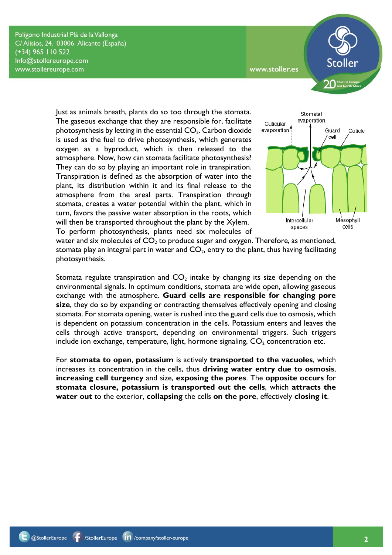Polígono Industrial Plá de la Vallonga C/Alisios, 24. 03006 Alicante (España) (+34) 965 110 522 Info@stollereurope.com www.stollereurope.com



Just as animals breath, plants do so too through the stomata. The gaseous exchange that they are responsible for, facilitate photosynthesis by letting in the essential  $CO<sub>2</sub>$ . Carbon dioxide is used as the fuel to drive photosynthesis, which generates oxygen as a byproduct, which is then released to the atmosphere. Now, how can stomata facilitate photosynthesis? They can do so by playing an important role in transpiration. Transpiration is defined as the absorption of water into the plant, its distribution within it and its final release to the atmosphere from the areal parts. Transpiration through stomata, creates a water potential within the plant, which in turn, favors the passive water absorption in the roots, which will then be transported throughout the plant by the Xylem. To perform photosynthesis, plants need six molecules of



water and six molecules of  $CO<sub>2</sub>$  to produce sugar and oxygen. Therefore, as mentioned, stomata play an integral part in water and  $CO<sub>2</sub>$ , entry to the plant, thus having facilitating photosynthesis.

Stomata regulate transpiration and  $CO<sub>2</sub>$  intake by changing its size depending on the environmental signals. In optimum conditions, stomata are wide open, allowing gaseous exchange with the atmosphere. **Guard cells are responsible for changing pore size**, they do so by expanding or contracting themselves effectively opening and closing stomata. For stomata opening, water is rushed into the guard cells due to osmosis, which is dependent on potassium concentration in the cells. Potassium enters and leaves the cells through active transport, depending on environmental triggers. Such triggers include ion exchange, temperature, light, hormone signaling,  $CO<sub>2</sub>$  concentration etc.

For **stomata to open**, **potassium** is actively **transported to the vacuoles**, which increases its concentration in the cells, thus **driving water entry due to osmosis**, **increasing cell turgency** and size, **exposing the pores**. The **opposite occurs** for **stomata closure, potassium is transported out the cells**, which **attracts the water out** to the exterior, **collapsing** the cells **on the pore**, effectively **closing it**.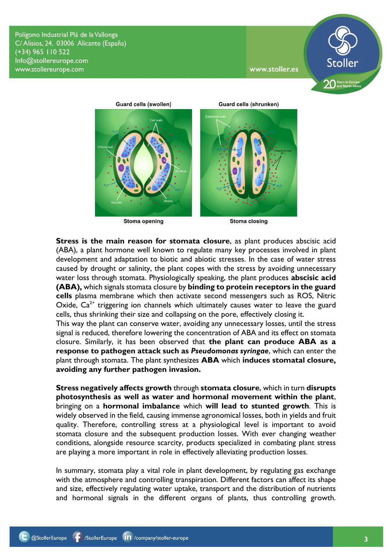Polígono Industrial Plá de la Vallonga C/Alisios, 24. 03006 Alicante (España) (+34) 965 110 522 Info@stollereurope.com www.stollereurope.com



**Guard cells (swollen) Guard cells (shrunken) Stoma closing** Stoma opening

**Stress is the main reason for stomata closure**, as plant produces abscisic acid (ABA), a plant hormone well known to regulate many key processes involved in plant development and adaptation to biotic and abiotic stresses. In the case of water stress caused by drought or salinity, the plant copes with the stress by avoiding unnecessary water loss through stomata. Physiologically speaking, the plant produces **abscisic acid (ABA),** which signals stomata closure by **binding to protein receptors in the guard cells** plasma membrane which then activate second messengers such as ROS, Nitric Oxide,  $Ca<sup>2+</sup>$  triggering ion channels which ultimately causes water to leave the guard cells, thus shrinking their size and collapsing on the pore, effectively closing it.

This way the plant can conserve water, avoiding any unnecessary losses, until the stress signal is reduced, therefore lowering the concentration of ABA and its effect on stomata closure. Similarly, it has been observed that **the plant can produce ABA as a response to pathogen attack such as** *Pseudomonas syringae*, which can enter the plant through stomata. The plant synthesizes **ABA** which **induces stomatal closure, avoiding any further pathogen invasion.** 

**Stress negatively affects growth** through **stomata closure**, which in turn **disrupts photosynthesis as well as water and hormonal movement within the plant**, bringing on a **hormonal imbalance** which **will lead to stunted growth**. This is widely observed in the field, causing immense agronomical losses, both in yields and fruit quality. Therefore, controlling stress at a physiological level is important to avoid stomata closure and the subsequent production losses. With ever changing weather conditions, alongside resource scarcity, products specialized in combating plant stress are playing a more important in role in effectively alleviating production losses.

In summary, stomata play a vital role in plant development, by regulating gas exchange with the atmosphere and controlling transpiration. Different factors can affect its shape and size, effectively regulating water uptake, transport and the distribution of nutrients and hormonal signals in the different organs of plants, thus controlling growth.